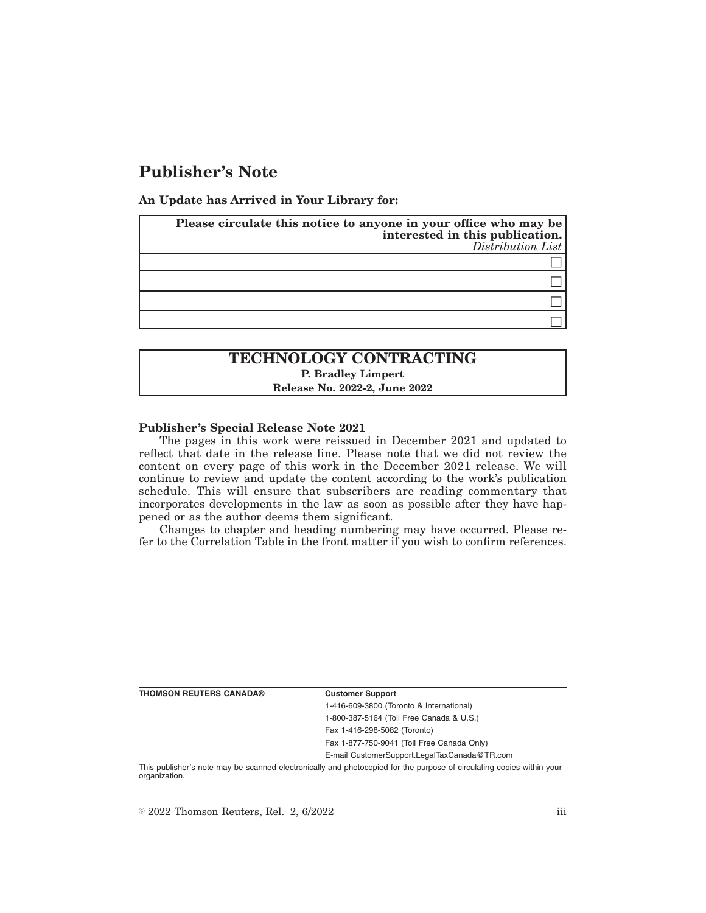# **Publisher's Note**

**An Update has Arrived in Your Library for:**

| Please circulate this notice to anyone in your office who may be<br>interested in this publication.<br>Distribution List |
|--------------------------------------------------------------------------------------------------------------------------|
|                                                                                                                          |
|                                                                                                                          |
|                                                                                                                          |
|                                                                                                                          |

## **TECHNOLOGY CONTRACTING P. Bradley Limpert Release No. 2022-2, June 2022**

#### **Publisher's Special Release Note 2021**

The pages in this work were reissued in December 2021 and updated to reflect that date in the release line. Please note that we did not review the content on every page of this work in the December 2021 release. We will continue to review and update the content according to the work's publication schedule. This will ensure that subscribers are reading commentary that incorporates developments in the law as soon as possible after they have happened or as the author deems them significant.

Changes to chapter and heading numbering may have occurred. Please refer to the Correlation Table in the front matter if you wish to confirm references.

| THOMSON REUTERS CANADA® |  |  |  |
|-------------------------|--|--|--|
|-------------------------|--|--|--|

#### **Customer Support**

1-416-609-3800 (Toronto & International) 1-800-387-5164 (Toll Free Canada & U.S.)

Fax 1-416-298-5082 (Toronto)

Fax 1-877-750-9041 (Toll Free Canada Only)

E-mail CustomerSupport.LegalTaxCanada@TR.com

This publisher's note may be scanned electronically and photocopied for the purpose of circulating copies within your organization.

 $\degree$  2022 Thomson Reuters, Rel. 2, 6/2022 iii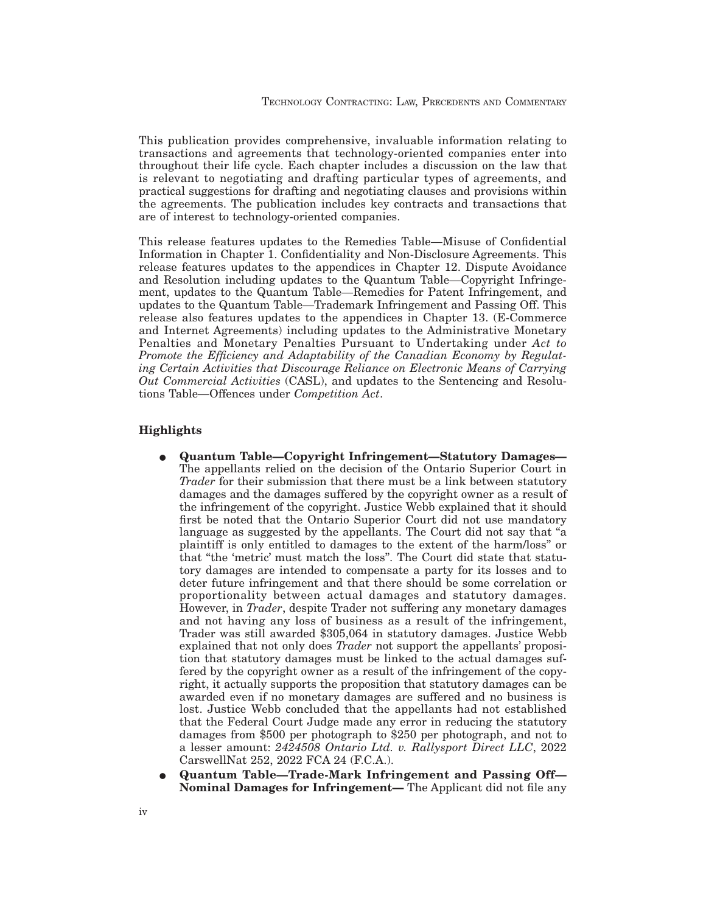This publication provides comprehensive, invaluable information relating to transactions and agreements that technology-oriented companies enter into throughout their life cycle. Each chapter includes a discussion on the law that is relevant to negotiating and drafting particular types of agreements, and practical suggestions for drafting and negotiating clauses and provisions within the agreements. The publication includes key contracts and transactions that are of interest to technology-oriented companies.

This release features updates to the Remedies Table—Misuse of Confidential Information in Chapter 1. Confidentiality and Non-Disclosure Agreements. This release features updates to the appendices in Chapter 12. Dispute Avoidance and Resolution including updates to the Quantum Table—Copyright Infringement, updates to the Quantum Table—Remedies for Patent Infringement, and updates to the Quantum Table—Trademark Infringement and Passing Off. This release also features updates to the appendices in Chapter 13. (E-Commerce and Internet Agreements) including updates to the Administrative Monetary Penalties and Monetary Penalties Pursuant to Undertaking under *Act to Promote the Efficiency and Adaptability of the Canadian Economy by Regulating Certain Activities that Discourage Reliance on Electronic Means of Carrying Out Commercial Activities* (CASL), and updates to the Sentencing and Resolutions Table—Offences under *Competition Act*.

### **Highlights**

- E **Quantum Table—Copyright Infringement—Statutory Damages—** The appellants relied on the decision of the Ontario Superior Court in *Trader* for their submission that there must be a link between statutory damages and the damages suffered by the copyright owner as a result of the infringement of the copyright. Justice Webb explained that it should first be noted that the Ontario Superior Court did not use mandatory language as suggested by the appellants. The Court did not say that "a plaintiff is only entitled to damages to the extent of the harm/loss" or that "the 'metric' must match the loss". The Court did state that statutory damages are intended to compensate a party for its losses and to deter future infringement and that there should be some correlation or proportionality between actual damages and statutory damages. However, in *Trader*, despite Trader not suffering any monetary damages and not having any loss of business as a result of the infringement, Trader was still awarded \$305,064 in statutory damages. Justice Webb explained that not only does *Trader* not support the appellants' proposition that statutory damages must be linked to the actual damages suffered by the copyright owner as a result of the infringement of the copyright, it actually supports the proposition that statutory damages can be awarded even if no monetary damages are suffered and no business is lost. Justice Webb concluded that the appellants had not established that the Federal Court Judge made any error in reducing the statutory damages from \$500 per photograph to \$250 per photograph, and not to a lesser amount: *2424508 Ontario Ltd. v. Rallysport Direct LLC*, 2022 CarswellNat 252, 2022 FCA 24 (F.C.A.).
- E **Quantum Table—Trade-Mark Infringement and Passing Off— Nominal Damages for Infringement—** The Applicant did not file any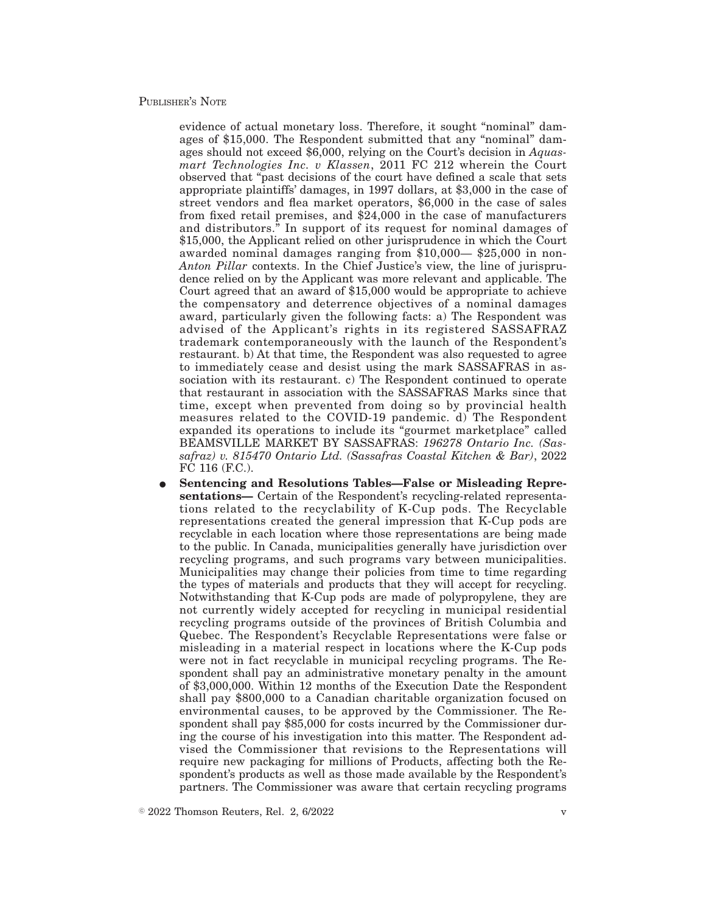### PUBLISHER'S NOTE

evidence of actual monetary loss. Therefore, it sought "nominal" damages of \$15,000. The Respondent submitted that any "nominal" damages should not exceed \$6,000, relying on the Court's decision in *Aquasmart Technologies Inc. v Klassen*, 2011 FC 212 wherein the Court observed that "past decisions of the court have defined a scale that sets appropriate plaintiffs' damages, in 1997 dollars, at \$3,000 in the case of street vendors and flea market operators, \$6,000 in the case of sales from fixed retail premises, and \$24,000 in the case of manufacturers and distributors." In support of its request for nominal damages of \$15,000, the Applicant relied on other jurisprudence in which the Court awarded nominal damages ranging from \$10,000— \$25,000 in non-*Anton Pillar* contexts. In the Chief Justice's view, the line of jurisprudence relied on by the Applicant was more relevant and applicable. The Court agreed that an award of \$15,000 would be appropriate to achieve the compensatory and deterrence objectives of a nominal damages award, particularly given the following facts: a) The Respondent was advised of the Applicant's rights in its registered SASSAFRAZ trademark contemporaneously with the launch of the Respondent's restaurant. b) At that time, the Respondent was also requested to agree to immediately cease and desist using the mark SASSAFRAS in association with its restaurant. c) The Respondent continued to operate that restaurant in association with the SASSAFRAS Marks since that time, except when prevented from doing so by provincial health measures related to the COVID-19 pandemic. d) The Respondent expanded its operations to include its "gourmet marketplace" called BEAMSVILLE MARKET BY SASSAFRAS: *196278 Ontario Inc. (Sassafraz) v. 815470 Ontario Ltd. (Sassafras Coastal Kitchen & Bar)*, 2022 FC 116 (F.C.).

E **Sentencing and Resolutions Tables—False or Misleading Representations—** Certain of the Respondent's recycling-related representations related to the recyclability of K-Cup pods. The Recyclable representations created the general impression that K-Cup pods are recyclable in each location where those representations are being made to the public. In Canada, municipalities generally have jurisdiction over recycling programs, and such programs vary between municipalities. Municipalities may change their policies from time to time regarding the types of materials and products that they will accept for recycling. Notwithstanding that K-Cup pods are made of polypropylene, they are not currently widely accepted for recycling in municipal residential recycling programs outside of the provinces of British Columbia and Quebec. The Respondent's Recyclable Representations were false or misleading in a material respect in locations where the K-Cup pods were not in fact recyclable in municipal recycling programs. The Respondent shall pay an administrative monetary penalty in the amount of \$3,000,000. Within 12 months of the Execution Date the Respondent shall pay \$800,000 to a Canadian charitable organization focused on environmental causes, to be approved by the Commissioner. The Respondent shall pay \$85,000 for costs incurred by the Commissioner during the course of his investigation into this matter. The Respondent advised the Commissioner that revisions to the Representations will require new packaging for millions of Products, affecting both the Respondent's products as well as those made available by the Respondent's partners. The Commissioner was aware that certain recycling programs

 $\degree$  2022 Thomson Reuters, Rel. 2, 6/2022 v